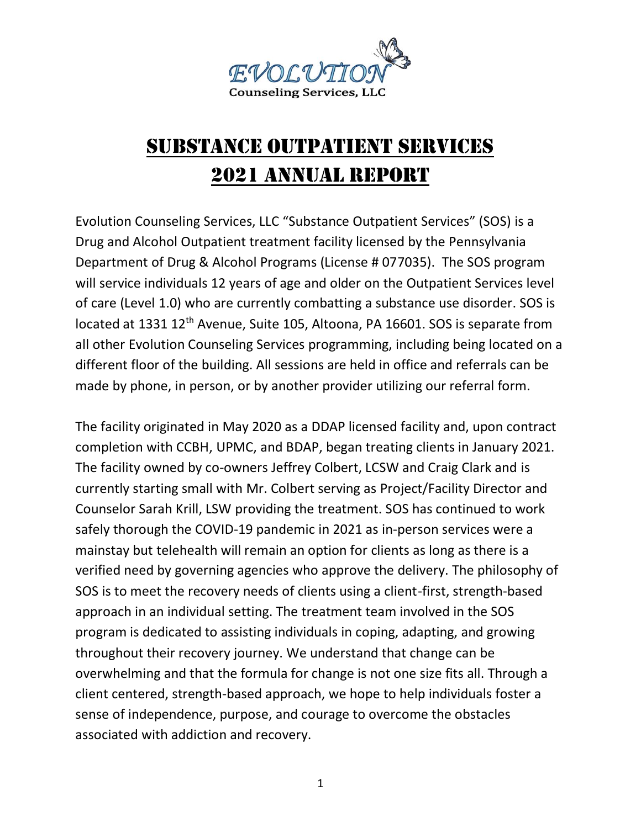

## Substance Outpatient Services 2021 ANNUAL REPORT

Evolution Counseling Services, LLC "Substance Outpatient Services" (SOS) is a Drug and Alcohol Outpatient treatment facility licensed by the Pennsylvania Department of Drug & Alcohol Programs (License # 077035). The SOS program will service individuals 12 years of age and older on the Outpatient Services level of care (Level 1.0) who are currently combatting a substance use disorder. SOS is located at 1331 12<sup>th</sup> Avenue, Suite 105, Altoona, PA 16601. SOS is separate from all other Evolution Counseling Services programming, including being located on a different floor of the building. All sessions are held in office and referrals can be made by phone, in person, or by another provider utilizing our referral form.

The facility originated in May 2020 as a DDAP licensed facility and, upon contract completion with CCBH, UPMC, and BDAP, began treating clients in January 2021. The facility owned by co-owners Jeffrey Colbert, LCSW and Craig Clark and is currently starting small with Mr. Colbert serving as Project/Facility Director and Counselor Sarah Krill, LSW providing the treatment. SOS has continued to work safely thorough the COVID-19 pandemic in 2021 as in-person services were a mainstay but telehealth will remain an option for clients as long as there is a verified need by governing agencies who approve the delivery. The philosophy of SOS is to meet the recovery needs of clients using a client-first, strength-based approach in an individual setting. The treatment team involved in the SOS program is dedicated to assisting individuals in coping, adapting, and growing throughout their recovery journey. We understand that change can be overwhelming and that the formula for change is not one size fits all. Through a client centered, strength-based approach, we hope to help individuals foster a sense of independence, purpose, and courage to overcome the obstacles associated with addiction and recovery.

1